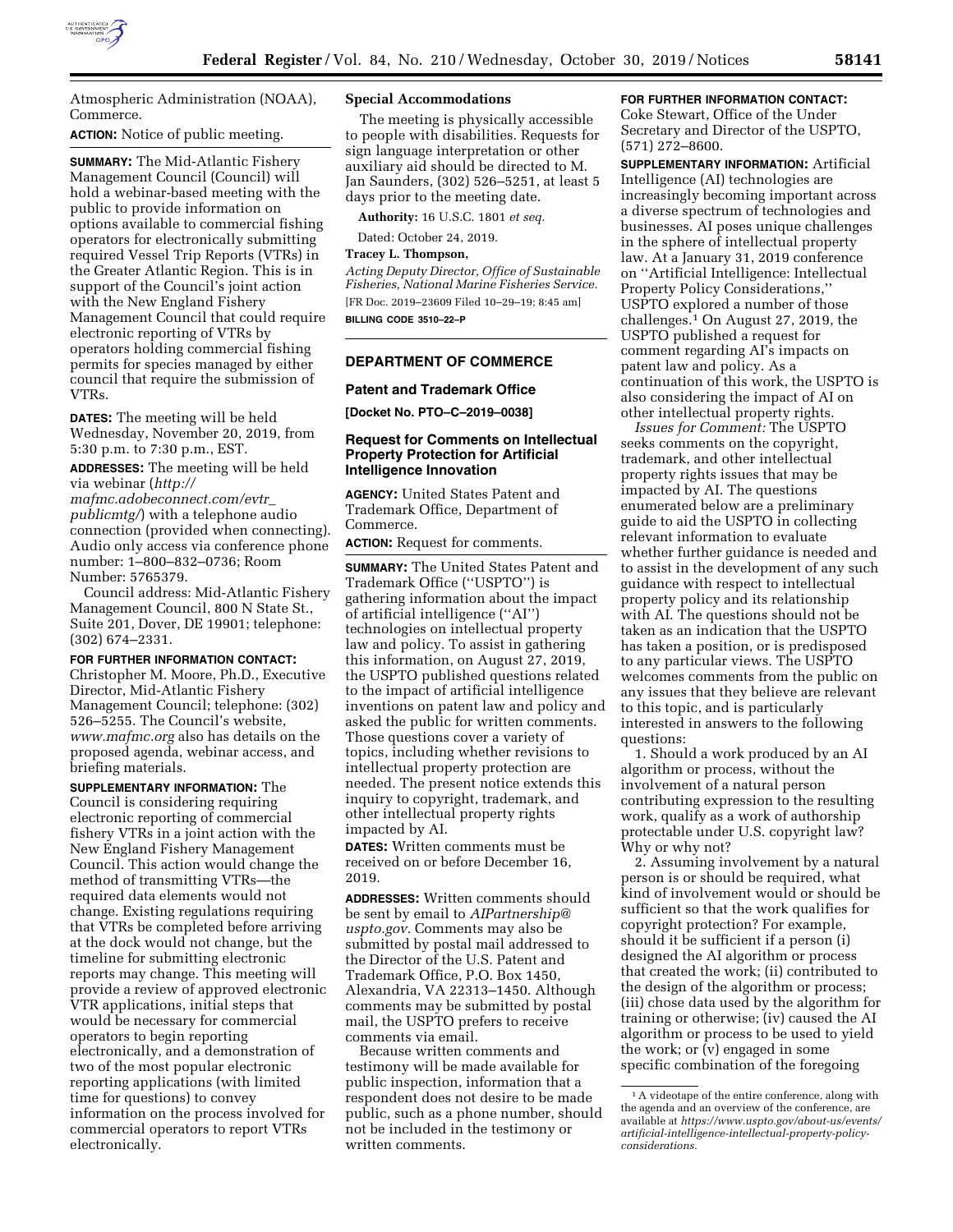

Atmospheric Administration (NOAA), Commerce.

## **ACTION:** Notice of public meeting.

**SUMMARY:** The Mid-Atlantic Fishery Management Council (Council) will hold a webinar-based meeting with the public to provide information on options available to commercial fishing operators for electronically submitting required Vessel Trip Reports (VTRs) in the Greater Atlantic Region. This is in support of the Council's joint action with the New England Fishery Management Council that could require electronic reporting of VTRs by operators holding commercial fishing permits for species managed by either council that require the submission of VTRs.

**DATES:** The meeting will be held Wednesday, November 20, 2019, from 5:30 p.m. to 7:30 p.m., EST.

**ADDRESSES:** The meeting will be held via webinar (*[http://](http://mafmc.adobeconnect.com/evtr_publicmtg/)*

*[mafmc.adobeconnect.com/evtr](http://mafmc.adobeconnect.com/evtr_publicmtg/)*\_ *[publicmtg/](http://mafmc.adobeconnect.com/evtr_publicmtg/)*) with a telephone audio connection (provided when connecting). Audio only access via conference phone number: 1–800–832–0736; Room Number: 5765379.

Council address: Mid-Atlantic Fishery Management Council, 800 N State St., Suite 201, Dover, DE 19901; telephone: (302) 674–2331.

## **FOR FURTHER INFORMATION CONTACT:**

Christopher M. Moore, Ph.D., Executive Director, Mid-Atlantic Fishery Management Council; telephone: (302) 526–5255. The Council's website, *[www.mafmc.org](http://www.mafmc.org)* also has details on the proposed agenda, webinar access, and briefing materials.

**SUPPLEMENTARY INFORMATION:** The Council is considering requiring electronic reporting of commercial fishery VTRs in a joint action with the New England Fishery Management Council. This action would change the method of transmitting VTRs—the required data elements would not change. Existing regulations requiring that VTRs be completed before arriving at the dock would not change, but the timeline for submitting electronic reports may change. This meeting will provide a review of approved electronic VTR applications, initial steps that would be necessary for commercial operators to begin reporting electronically, and a demonstration of two of the most popular electronic reporting applications (with limited time for questions) to convey information on the process involved for commercial operators to report VTRs electronically.

## **Special Accommodations**

The meeting is physically accessible to people with disabilities. Requests for sign language interpretation or other auxiliary aid should be directed to M. Jan Saunders, (302) 526–5251, at least 5 days prior to the meeting date.

**Authority:** 16 U.S.C. 1801 *et seq.* 

Dated: October 24, 2019.

**Tracey L. Thompson,** 

*Acting Deputy Director, Office of Sustainable Fisheries, National Marine Fisheries Service.*  [FR Doc. 2019–23609 Filed 10–29–19; 8:45 am] **BILLING CODE 3510–22–P** 

## **DEPARTMENT OF COMMERCE**

#### **Patent and Trademark Office**

**[Docket No. PTO–C–2019–0038]** 

## **Request for Comments on Intellectual Property Protection for Artificial Intelligence Innovation**

**AGENCY:** United States Patent and Trademark Office, Department of Commerce.

**ACTION:** Request for comments.

**SUMMARY:** The United States Patent and Trademark Office (''USPTO'') is gathering information about the impact of artificial intelligence (''AI'') technologies on intellectual property law and policy. To assist in gathering this information, on August 27, 2019, the USPTO published questions related to the impact of artificial intelligence inventions on patent law and policy and asked the public for written comments. Those questions cover a variety of topics, including whether revisions to intellectual property protection are needed. The present notice extends this inquiry to copyright, trademark, and other intellectual property rights impacted by AI.

**DATES:** Written comments must be received on or before December 16, 2019.

**ADDRESSES:** Written comments should be sent by email to *[AIPartnership@](mailto:AIPartnership@uspto.gov) [uspto.gov.](mailto:AIPartnership@uspto.gov)* Comments may also be submitted by postal mail addressed to the Director of the U.S. Patent and Trademark Office, P.O. Box 1450, Alexandria, VA 22313–1450. Although comments may be submitted by postal mail, the USPTO prefers to receive comments via email.

Because written comments and testimony will be made available for public inspection, information that a respondent does not desire to be made public, such as a phone number, should not be included in the testimony or written comments.

## **FOR FURTHER INFORMATION CONTACT:**

Coke Stewart, Office of the Under Secretary and Director of the USPTO, (571) 272–8600.

**SUPPLEMENTARY INFORMATION:** Artificial Intelligence (AI) technologies are increasingly becoming important across a diverse spectrum of technologies and businesses. AI poses unique challenges in the sphere of intellectual property law. At a January 31, 2019 conference on ''Artificial Intelligence: Intellectual Property Policy Considerations,'' USPTO explored a number of those challenges.1 On August 27, 2019, the USPTO published a request for comment regarding AI's impacts on patent law and policy. As a continuation of this work, the USPTO is also considering the impact of AI on other intellectual property rights.

*Issues for Comment:* The USPTO seeks comments on the copyright, trademark, and other intellectual property rights issues that may be impacted by AI. The questions enumerated below are a preliminary guide to aid the USPTO in collecting relevant information to evaluate whether further guidance is needed and to assist in the development of any such guidance with respect to intellectual property policy and its relationship with AI. The questions should not be taken as an indication that the USPTO has taken a position, or is predisposed to any particular views. The USPTO welcomes comments from the public on any issues that they believe are relevant to this topic, and is particularly interested in answers to the following questions:

1. Should a work produced by an AI algorithm or process, without the involvement of a natural person contributing expression to the resulting work, qualify as a work of authorship protectable under U.S. copyright law? Why or why not?

2. Assuming involvement by a natural person is or should be required, what kind of involvement would or should be sufficient so that the work qualifies for copyright protection? For example, should it be sufficient if a person (i) designed the AI algorithm or process that created the work; (ii) contributed to the design of the algorithm or process; (iii) chose data used by the algorithm for training or otherwise; (iv) caused the AI algorithm or process to be used to yield the work; or (v) engaged in some specific combination of the foregoing

<sup>&</sup>lt;sup>1</sup> A videotape of the entire conference, along with the agenda and an overview of the conference, are available at *[https://www.uspto.gov/about-us/events/](https://www.uspto.gov/about-us/events/artificial-intelligence-intellectual-property-policy-considerations)  [artificial-intelligence-intellectual-property-policy](https://www.uspto.gov/about-us/events/artificial-intelligence-intellectual-property-policy-considerations)[considerations.](https://www.uspto.gov/about-us/events/artificial-intelligence-intellectual-property-policy-considerations)*